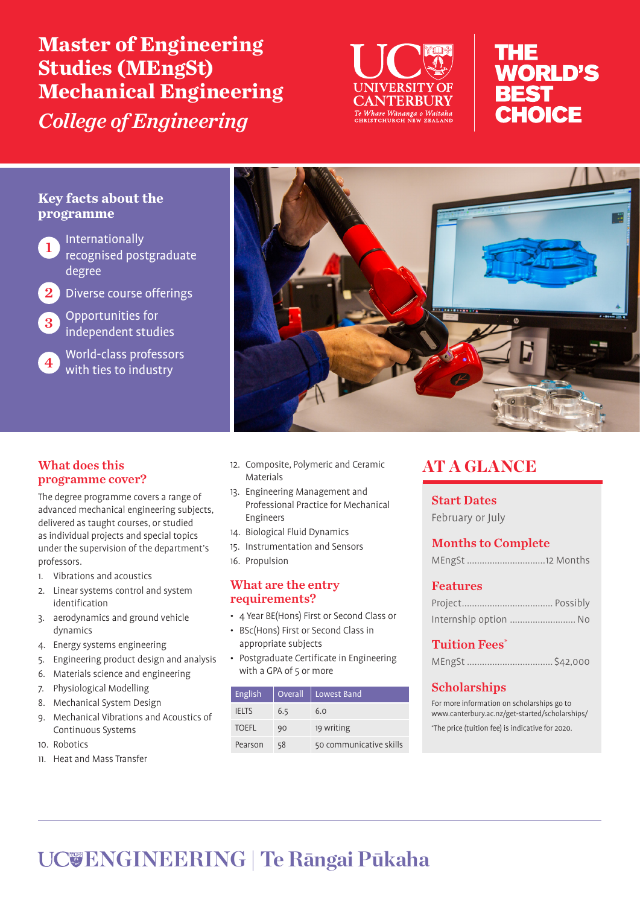**Master of Engineering Studies (MEngSt) Mechanical Engineering**  *College of Engineering*



# THE **WORLD'S BEST** CHOICE

# **Key facts about the programme**

**Internationally** recognised postgraduate degree

- 2 Diverse course offerings
- 3 Opportunities for independent studies

World-class professors with ties to industry



# What does this programme cover?

The degree programme covers a range of advanced mechanical engineering subjects, delivered as taught courses, or studied as individual projects and special topics under the supervision of the department's professors.

- 1. Vibrations and acoustics
- 2. Linear systems control and system identification
- 3. aerodynamics and ground vehicle dynamics
- 4. Energy systems engineering
- 5. Engineering product design and analysis
- 6. Materials science and engineering
- 7. Physiological Modelling
- 8. Mechanical System Design
- 9. Mechanical Vibrations and Acoustics of Continuous Systems
- 10. Robotics
- 11. Heat and Mass Transfer
- 12. Composite, Polymeric and Ceramic Materials
- 13. Engineering Management and Professional Practice for Mechanical Engineers
- 14. Biological Fluid Dynamics
- 15. Instrumentation and Sensors
- 16. Propulsion

#### What are the entry requirements?

- 4 Year BE(Hons) First or Second Class or
- BSc(Hons) First or Second Class in appropriate subjects
- Postgraduate Certificate in Engineering with a GPA of 5 or more

| English      | <b>Overall</b> | Lowest Band             |
|--------------|----------------|-------------------------|
| <b>IELTS</b> | 6.5            | 6.0                     |
| <b>TOEFL</b> | 90             | 19 writing              |
| Pearson      | 58             | 50 communicative skills |

# **AT A GLANCE**

Start Dates February or July

# Months to Complete

| MEngSt 12 Months |  |  |
|------------------|--|--|
|------------------|--|--|

## Features

| Internship option  No |  |
|-----------------------|--|

## Tuition Fees\*

|--|--|

# Scholarships

For more information on scholarships go to www.canterbury.ac.nz/get-started/scholarships/ \* The price (tuition fee) is indicative for 2020.

# **ENGINEERING | Te Rāngai Pūkaha**